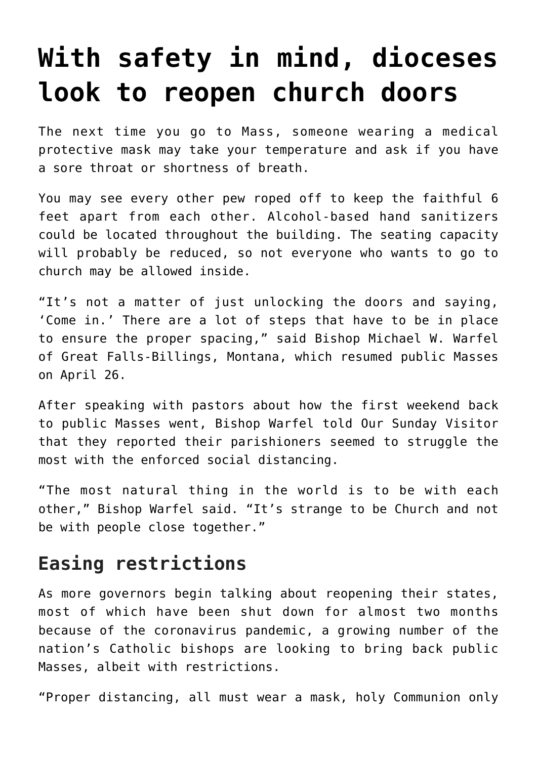## **[With safety in mind, dioceses](https://www.osvnews.com/2020/04/30/with-safety-in-mind-dioceses-look-to-reopen-church-doors/) [look to reopen church doors](https://www.osvnews.com/2020/04/30/with-safety-in-mind-dioceses-look-to-reopen-church-doors/)**

The next time you go to Mass, someone wearing a medical protective mask may take your temperature and ask if you have a sore throat or shortness of breath.

You may see every other pew roped off to keep the faithful 6 feet apart from each other. Alcohol-based hand sanitizers could be located throughout the building. The seating capacity will probably be reduced, so not everyone who wants to go to church may be allowed inside.

"It's not a matter of just unlocking the doors and saying, 'Come in.' There are a lot of steps that have to be in place to ensure the proper spacing," said Bishop Michael W. Warfel of Great Falls-Billings, Montana, which resumed public Masses on April 26.

After speaking with pastors about how the first weekend back to public Masses went, Bishop Warfel told Our Sunday Visitor that they reported their parishioners seemed to struggle the most with the enforced social distancing.

"The most natural thing in the world is to be with each other," Bishop Warfel said. "It's strange to be Church and not be with people close together."

## **Easing restrictions**

As more governors begin talking about reopening their states, most of which have been shut down for almost two months because of the coronavirus pandemic, a growing number of the nation's Catholic bishops are looking to bring back public Masses, albeit with restrictions.

"Proper distancing, all must wear a mask, holy Communion only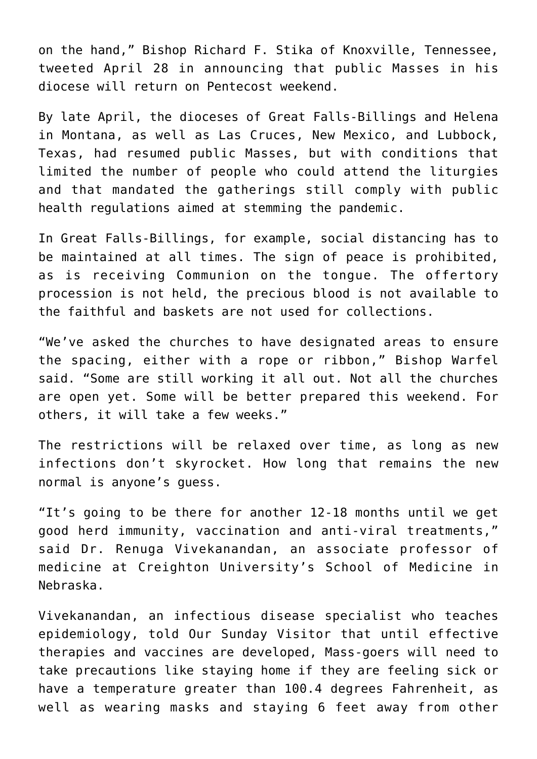on the hand," Bishop Richard F. Stika of Knoxville, Tennessee, tweeted April 28 in announcing that public Masses in his diocese will return on Pentecost weekend.

By late April, the dioceses of Great Falls-Billings and Helena in Montana, as well as Las Cruces, New Mexico, and Lubbock, Texas, had resumed public Masses, but with conditions that limited the number of people who could attend the liturgies and that mandated the gatherings still comply with public health regulations aimed at stemming the pandemic.

In Great Falls-Billings, for example, social distancing has to be maintained at all times. The sign of peace is prohibited, as is receiving Communion on the tongue. The offertory procession is not held, the precious blood is not available to the faithful and baskets are not used for collections.

"We've asked the churches to have designated areas to ensure the spacing, either with a rope or ribbon," Bishop Warfel said. "Some are still working it all out. Not all the churches are open yet. Some will be better prepared this weekend. For others, it will take a few weeks."

The restrictions will be relaxed over time, as long as new infections don't skyrocket. How long that remains the new normal is anyone's guess.

"It's going to be there for another 12-18 months until we get good herd immunity, vaccination and anti-viral treatments," said Dr. Renuga Vivekanandan, an associate professor of medicine at Creighton University's School of Medicine in Nebraska.

Vivekanandan, an infectious disease specialist who teaches epidemiology, told Our Sunday Visitor that until effective therapies and vaccines are developed, Mass-goers will need to take precautions like staying home if they are feeling sick or have a temperature greater than 100.4 degrees Fahrenheit, as well as wearing masks and staying 6 feet away from other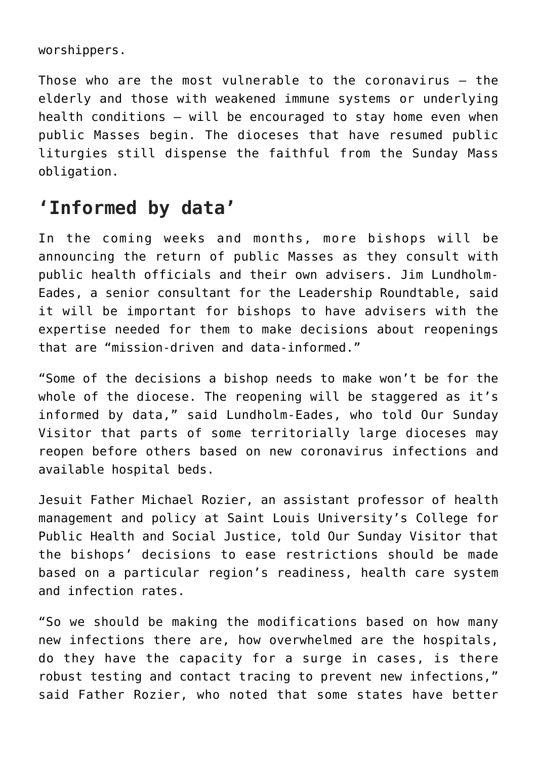worshippers.

Those who are the most vulnerable to the coronavirus — the elderly and those with weakened immune systems or underlying health conditions — will be encouraged to stay home even when public Masses begin. The dioceses that have resumed public liturgies still dispense the faithful from the Sunday Mass obligation.

## **'Informed by data'**

In the coming weeks and months, more bishops will be announcing the return of public Masses as they consult with public health officials and their own advisers. Jim Lundholm-Eades, a senior consultant for the Leadership Roundtable, said it will be important for bishops to have advisers with the expertise needed for them to make decisions about reopenings that are "mission-driven and data-informed."

"Some of the decisions a bishop needs to make won't be for the whole of the diocese. The reopening will be staggered as it's informed by data," said Lundholm-Eades, who told Our Sunday Visitor that parts of some territorially large dioceses may reopen before others based on new coronavirus infections and available hospital beds.

Jesuit Father Michael Rozier, an assistant professor of health management and policy at Saint Louis University's College for Public Health and Social Justice, told Our Sunday Visitor that the bishops' decisions to ease restrictions should be made based on a particular region's readiness, health care system and infection rates.

"So we should be making the modifications based on how many new infections there are, how overwhelmed are the hospitals, do they have the capacity for a surge in cases, is there robust testing and contact tracing to prevent new infections," said Father Rozier, who noted that some states have better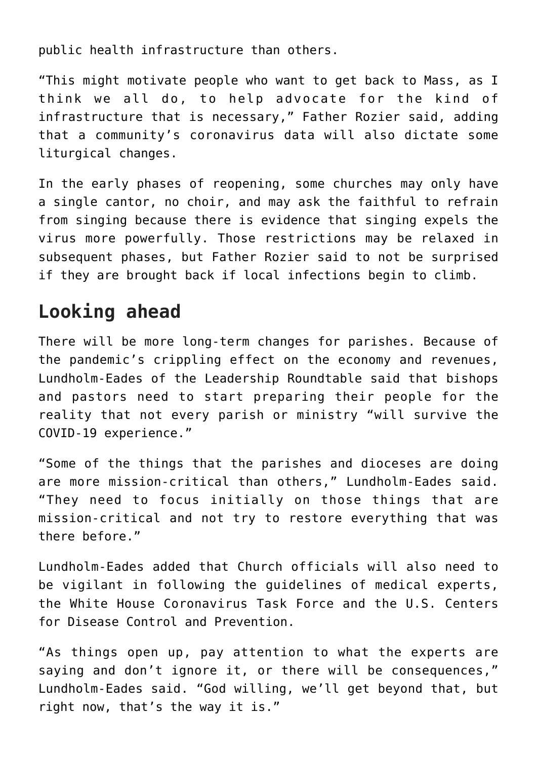public health infrastructure than others.

"This might motivate people who want to get back to Mass, as I think we all do, to help advocate for the kind of infrastructure that is necessary," Father Rozier said, adding that a community's coronavirus data will also dictate some liturgical changes.

In the early phases of reopening, some churches may only have a single cantor, no choir, and may ask the faithful to refrain from singing because there is evidence that singing expels the virus more powerfully. Those restrictions may be relaxed in subsequent phases, but Father Rozier said to not be surprised if they are brought back if local infections begin to climb.

## **Looking ahead**

There will be more long-term changes for parishes. Because of the pandemic's crippling effect on the economy and revenues, Lundholm-Eades of the Leadership Roundtable said that bishops and pastors need to start preparing their people for the reality that not every parish or ministry "will survive the COVID-19 experience."

"Some of the things that the parishes and dioceses are doing are more mission-critical than others," Lundholm-Eades said. "They need to focus initially on those things that are mission-critical and not try to restore everything that was there before."

Lundholm-Eades added that Church officials will also need to be vigilant in following the guidelines of medical experts, the White House Coronavirus Task Force and the U.S. Centers for Disease Control and Prevention.

"As things open up, pay attention to what the experts are saying and don't ignore it, or there will be consequences," Lundholm-Eades said. "God willing, we'll get beyond that, but right now, that's the way it is."